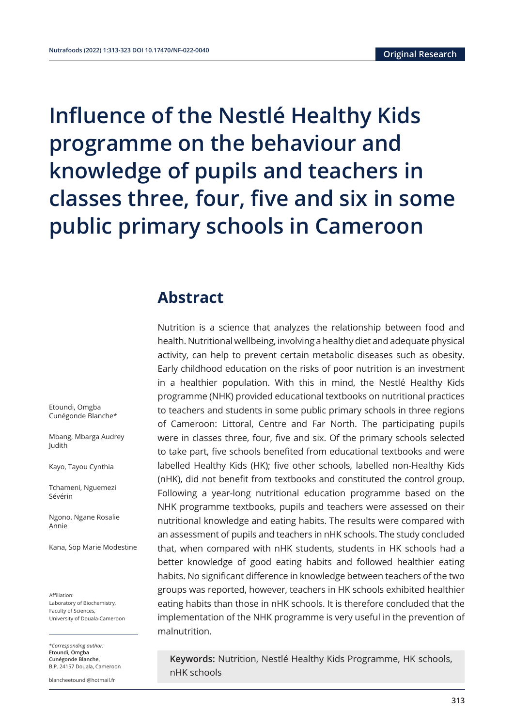**Influence of the Nestlé Healthy Kids programme on the behaviour and knowledge of pupils and teachers in classes three, four, five and six in some public primary schools in Cameroon**

## **Abstract**

Nutrition is a science that analyzes the relationship between food and health. Nutritional wellbeing, involving a healthy diet and adequate physical activity, can help to prevent certain metabolic diseases such as obesity. Early childhood education on the risks of poor nutrition is an investment in a healthier population. With this in mind, the Nestlé Healthy Kids programme (NHK) provided educational textbooks on nutritional practices to teachers and students in some public primary schools in three regions of Cameroon: Littoral, Centre and Far North. The participating pupils were in classes three, four, five and six. Of the primary schools selected to take part, five schools benefited from educational textbooks and were labelled Healthy Kids (HK); five other schools, labelled non-Healthy Kids (nHK), did not benefit from textbooks and constituted the control group. Following a year-long nutritional education programme based on the NHK programme textbooks, pupils and teachers were assessed on their nutritional knowledge and eating habits. The results were compared with an assessment of pupils and teachers in nHK schools. The study concluded that, when compared with nHK students, students in HK schools had a better knowledge of good eating habits and followed healthier eating habits. No significant difference in knowledge between teachers of the two groups was reported, however, teachers in HK schools exhibited healthier eating habits than those in nHK schools. It is therefore concluded that the implementation of the NHK programme is very useful in the prevention of malnutrition.

**Keywords:** Nutrition, Nestlé Healthy Kids Programme, HK schools, nHK schools

Etoundi, Omgba Cunégonde Blanche\*

Mbang, Mbarga Audrey Judith

Kayo, Tayou Cynthia

Tchameni, Nguemezi Sévérin

Ngono, Ngane Rosalie Annie

Kana, Sop Marie Modestine

Affiliation: Laboratory of Biochemistry, Faculty of Sciences, University of Douala-Cameroon

*\*Corresponding author:*  **Etoundi, Omgba Cunégonde Blanche,**  B.P. 24157 Douala, Cameroon

blancheetoundi@hotmail.fr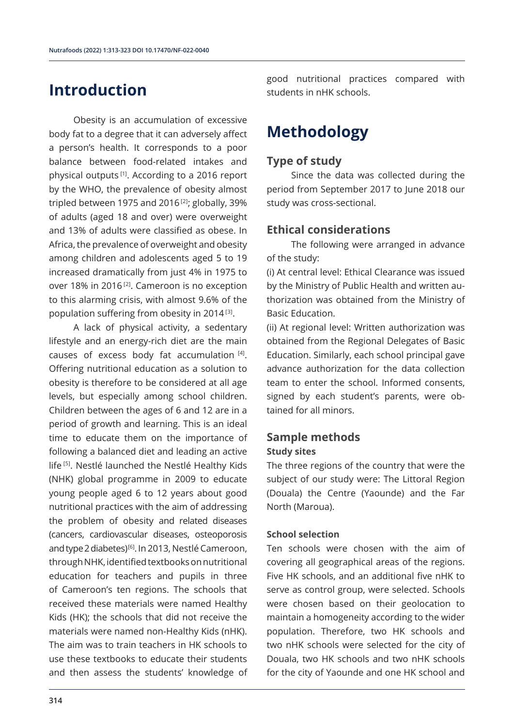## **Introduction**

Obesity is an accumulation of excessive body fat to a degree that it can adversely affect a person's health. It corresponds to a poor balance between food-related intakes and physical outputs [1]. According to a 2016 report by the WHO, the prevalence of obesity almost tripled between 1975 and 2016 $[2]$ ; globally, 39% of adults (aged 18 and over) were overweight and 13% of adults were classified as obese. In Africa, the prevalence of overweight and obesity among children and adolescents aged 5 to 19 increased dramatically from just 4% in 1975 to over 18% in 2016<sup>[2]</sup>. Cameroon is no exception to this alarming crisis, with almost 9.6% of the population suffering from obesity in 2014 [3].

A lack of physical activity, a sedentary lifestyle and an energy-rich diet are the main causes of excess body fat accumulation  $[4]$ . Offering nutritional education as a solution to obesity is therefore to be considered at all age levels, but especially among school children. Children between the ages of 6 and 12 are in a period of growth and learning. This is an ideal time to educate them on the importance of following a balanced diet and leading an active life [5]. Nestlé launched the Nestlé Healthy Kids (NHK) global programme in 2009 to educate young people aged 6 to 12 years about good nutritional practices with the aim of addressing the problem of obesity and related diseases (cancers, cardiovascular diseases, osteoporosis and type 2 diabetes)<sup>[6]</sup>. In 2013, Nestlé Cameroon, through NHK, identified textbooks on nutritional education for teachers and pupils in three of Cameroon's ten regions. The schools that received these materials were named Healthy Kids (HK); the schools that did not receive the materials were named non-Healthy Kids (nHK). The aim was to train teachers in HK schools to use these textbooks to educate their students and then assess the students' knowledge of

good nutritional practices compared with students in nHK schools.

# **Methodology**

### **Type of study**

Since the data was collected during the period from September 2017 to June 2018 our study was cross-sectional.

## **Ethical considerations**

The following were arranged in advance of the study:

(i) At central level: Ethical Clearance was issued by the Ministry of Public Health and written authorization was obtained from the Ministry of Basic Education.

(ii) At regional level: Written authorization was obtained from the Regional Delegates of Basic Education. Similarly, each school principal gave advance authorization for the data collection team to enter the school. Informed consents, signed by each student's parents, were obtained for all minors.

## **Sample methods**

#### **Study sites**

The three regions of the country that were the subject of our study were: The Littoral Region (Douala) the Centre (Yaounde) and the Far North (Maroua).

#### **School selection**

Ten schools were chosen with the aim of covering all geographical areas of the regions. Five HK schools, and an additional five nHK to serve as control group, were selected. Schools were chosen based on their geolocation to maintain a homogeneity according to the wider population. Therefore, two HK schools and two nHK schools were selected for the city of Douala, two HK schools and two nHK schools for the city of Yaounde and one HK school and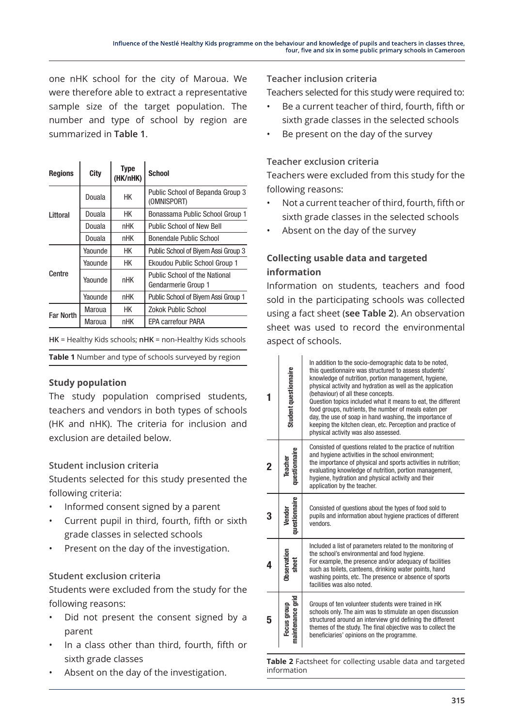one nHK school for the city of Maroua. We were therefore able to extract a representative sample size of the target population. The number and type of school by region are summarized in **Table 1**.

| <b>Regions</b>   | City         | Type<br>(HK/nHK) | <b>School</b>                                               |  |  |
|------------------|--------------|------------------|-------------------------------------------------------------|--|--|
|                  | Douala       | НK               | Public School of Bepanda Group 3<br>(OMNISPORT)             |  |  |
| Littoral         | НK<br>Douala |                  | Bonassama Public School Group 1                             |  |  |
|                  | Douala       | nHK              | <b>Public School of New Bell</b>                            |  |  |
|                  | Douala       | nHK              | Bonendale Public School                                     |  |  |
| Centre           | Yaounde      | НK               | Public School of Biyem Assi Group 3                         |  |  |
|                  | Yaounde      | HК               | Ekoudou Public School Group 1                               |  |  |
|                  | Yaounde      | <b>nHK</b>       | <b>Public School of the National</b><br>Gendarmerie Group 1 |  |  |
|                  | Yaounde      | nHK              | Public School of Biyem Assi Group 1                         |  |  |
| <b>Far North</b> | НK<br>Maroua |                  | Zokok Public School                                         |  |  |
|                  | Maroua       | nHK              | <b>EPA carrefour PARA</b>                                   |  |  |

**HK** = Healthy Kids schools; **nHK** = non-Healthy Kids schools

**Table 1** Number and type of schools surveyed by region

### **Study population**

The study population comprised students, teachers and vendors in both types of schools (HK and nHK). The criteria for inclusion and exclusion are detailed below.

### **Student inclusion criteria**

Students selected for this study presented the following criteria:

- Informed consent signed by a parent
- Current pupil in third, fourth, fifth or sixth grade classes in selected schools
- Present on the day of the investigation.

### **Student exclusion criteria**

Students were excluded from the study for the following reasons:

- Did not present the consent signed by a parent
- In a class other than third, fourth, fifth or sixth grade classes
- Absent on the day of the investigation.

**Teacher inclusion criteria**

Teachers selected for this study were required to:

- Be a current teacher of third, fourth, fifth or sixth grade classes in the selected schools
- Be present on the day of the survey

#### **Teacher exclusion criteria**

Teachers were excluded from this study for the following reasons:

- Not a current teacher of third, fourth, fifth or sixth grade classes in the selected schools
- Absent on the day of the survey

## **Collecting usable data and targeted information**

Information on students, teachers and food sold in the participating schools was collected using a fact sheet (**see Table 2**). An observation sheet was used to record the environmental aspect of schools.

|   | Student questionnaire           | In addition to the socio-demographic data to be noted,<br>this questionnaire was structured to assess students'<br>knowledge of nutrition, portion management, hygiene,<br>physical activity and hydration as well as the application<br>(behaviour) of all these concepts.<br>Question topics included what it means to eat, the different<br>food groups, nutrients, the number of meals eaten per<br>day, the use of soap in hand washing, the importance of<br>keeping the kitchen clean, etc. Perception and practice of<br>physical activity was also assessed. |  |  |  |
|---|---------------------------------|-----------------------------------------------------------------------------------------------------------------------------------------------------------------------------------------------------------------------------------------------------------------------------------------------------------------------------------------------------------------------------------------------------------------------------------------------------------------------------------------------------------------------------------------------------------------------|--|--|--|
| 2 | questionnaire<br>Teache         | Consisted of questions related to the practice of nutrition<br>and hygiene activities in the school environment;<br>the importance of physical and sports activities in nutrition;<br>evaluating knowledge of nutrition, portion management,<br>hygiene, hydration and physical activity and their<br>application by the teacher.                                                                                                                                                                                                                                     |  |  |  |
|   | questionnaire<br>Vendor         | Consisted of questions about the types of food sold to<br>pupils and information about hygiene practices of different<br>vendors.                                                                                                                                                                                                                                                                                                                                                                                                                                     |  |  |  |
|   | Observation<br>sheet            | Included a list of parameters related to the monitoring of<br>the school's environmental and food hygiene.<br>For example, the presence and/or adequacy of facilities<br>such as toilets, canteens, drinking water points, hand<br>washing points, etc. The presence or absence of sports<br>facilities was also noted.                                                                                                                                                                                                                                               |  |  |  |
| 5 | maintenance grid<br>Focus group | Groups of ten volunteer students were trained in HK<br>schools only. The aim was to stimulate an open discussion<br>structured around an interview grid defining the different<br>themes of the study. The final objective was to collect the<br>beneficiaries' opinions on the programme.                                                                                                                                                                                                                                                                            |  |  |  |

**Table 2** Factsheet for collecting usable data and targeted information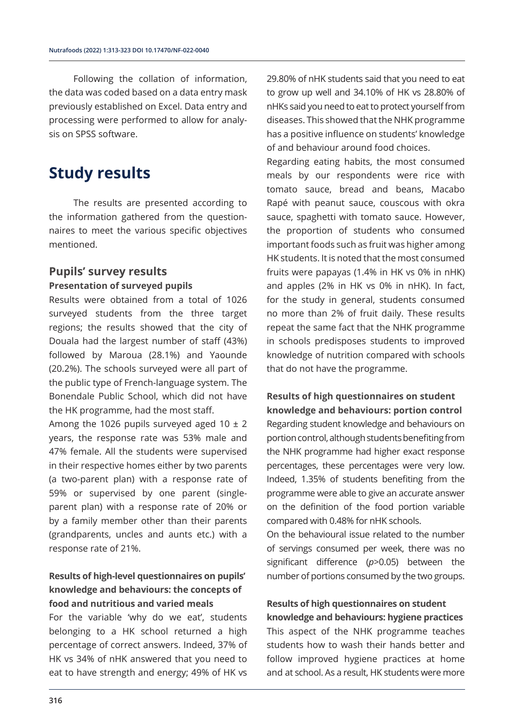Following the collation of information, the data was coded based on a data entry mask previously established on Excel. Data entry and processing were performed to allow for analysis on SPSS software.

## **Study results**

The results are presented according to the information gathered from the questionnaires to meet the various specific objectives mentioned.

### **Pupils' survey results Presentation of surveyed pupils**

Results were obtained from a total of 1026 surveyed students from the three target regions; the results showed that the city of Douala had the largest number of staff (43%) followed by Maroua (28.1%) and Yaounde (20.2%). The schools surveyed were all part of the public type of French-language system. The Bonendale Public School, which did not have the HK programme, had the most staff.

Among the 1026 pupils surveyed aged 10  $\pm$  2 years, the response rate was 53% male and 47% female. All the students were supervised in their respective homes either by two parents (a two-parent plan) with a response rate of 59% or supervised by one parent (singleparent plan) with a response rate of 20% or by a family member other than their parents (grandparents, uncles and aunts etc.) with a response rate of 21%.

## **Results of high-level questionnaires on pupils' knowledge and behaviours: the concepts of food and nutritious and varied meals**

For the variable 'why do we eat', students belonging to a HK school returned a high percentage of correct answers. Indeed, 37% of HK vs 34% of nHK answered that you need to eat to have strength and energy; 49% of HK vs

29.80% of nHK students said that you need to eat to grow up well and 34.10% of HK vs 28.80% of nHKs said you need to eat to protect yourself from diseases. This showed that the NHK programme has a positive influence on students' knowledge of and behaviour around food choices.

Regarding eating habits, the most consumed meals by our respondents were rice with tomato sauce, bread and beans, Macabo Rapé with peanut sauce, couscous with okra sauce, spaghetti with tomato sauce. However, the proportion of students who consumed important foods such as fruit was higher among HK students. It is noted that the most consumed fruits were papayas (1.4% in HK vs 0% in nHK) and apples (2% in HK vs 0% in nHK). In fact, for the study in general, students consumed no more than 2% of fruit daily. These results repeat the same fact that the NHK programme in schools predisposes students to improved knowledge of nutrition compared with schools that do not have the programme.

## **Results of high questionnaires on student knowledge and behaviours: portion control** Regarding student knowledge and behaviours on portion control, although students benefiting from the NHK programme had higher exact response percentages, these percentages were very low.

Indeed, 1.35% of students benefiting from the programme were able to give an accurate answer on the definition of the food portion variable compared with 0.48% for nHK schools.

On the behavioural issue related to the number of servings consumed per week, there was no significant difference (*p*>0.05) between the number of portions consumed by the two groups.

#### **Results of high questionnaires on student knowledge and behaviours: hygiene practices**

This aspect of the NHK programme teaches students how to wash their hands better and follow improved hygiene practices at home and at school. As a result, HK students were more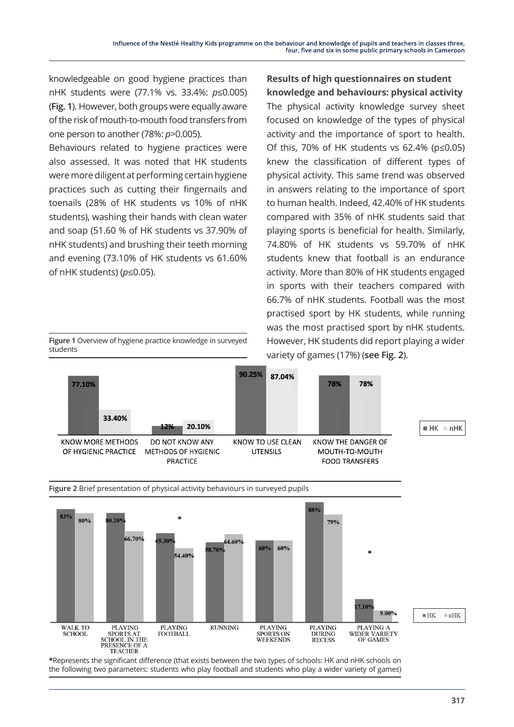**Results of high questionnaires on student knowledge and behaviours: physical activity** The physical activity knowledge survey sheet focused on knowledge of the types of physical activity and the importance of sport to health. Of this, 70% of HK students vs 62.4% (p≤0.05) knew the classification of different types of

knowledgeable on good hygiene practices than nHK students were (77.1% vs. 33.4%: *p*≤0.005) (**Fig. 1**). However, both groups were equally aware of the risk of mouth-to-mouth food transfers from one person to another (78%: *p*>0.005).

Behaviours related to hygiene practices were also assessed. It was noted that HK students were more diligent at performing certain hygiene practices such as cutting their fingernails and toenails (28% of HK students vs 10% of nHK students), washing their hands with clean water and soap (51.60 % of HK students vs 37.90% of nHK students) and brushing their teeth morning and evening (73.10% of HK students vs 61.60% of nHK students) (*p*≤0.05).

physical activity. This same trend was observed in answers relating to the importance of sport to human health. Indeed, 42.40% of HK students compared with 35% of nHK students said that playing sports is beneficial for health. Similarly, 74.80% of HK students vs 59.70% of nHK students knew that football is an endurance activity. More than 80% of HK students engaged in sports with their teachers compared with 66.7% of nHK students. Football was the most practised sport by HK students, while running was the most practised sport by nHK students. However, HK students did report playing a wider **Figure 1** Overview of hygiene practice knowledge in surveyed





**\***Represents the significant difference (that exists between the two types of schools: HK and nHK schools on the following two parameters: students who play football and students who play a wider variety of games)

students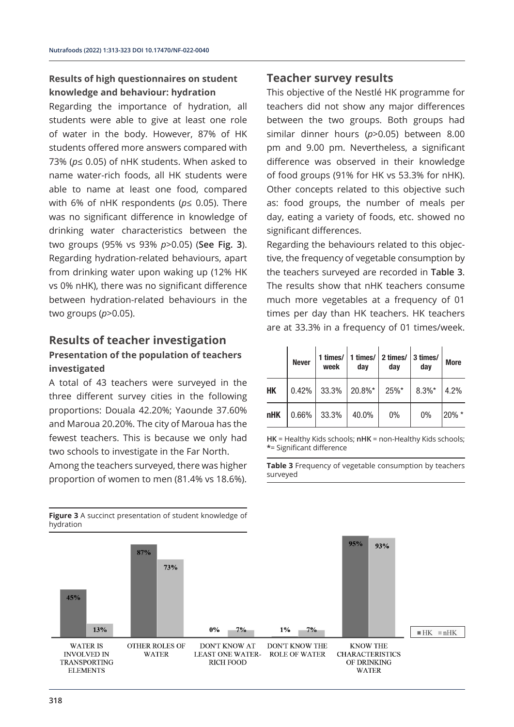### **Results of high questionnaires on student knowledge and behaviour: hydration**

Regarding the importance of hydration, all students were able to give at least one role of water in the body. However, 87% of HK students offered more answers compared with 73% (*p*≤ 0.05) of nHK students. When asked to name water-rich foods, all HK students were able to name at least one food, compared with 6% of nHK respondents (*p*≤ 0.05). There was no significant difference in knowledge of drinking water characteristics between the two groups (95% vs 93% *p*>0.05) (**See Fig. 3**). Regarding hydration-related behaviours, apart from drinking water upon waking up (12% HK vs 0% nHK), there was no significant difference between hydration-related behaviours in the two groups (*p*>0.05).

#### **Results of teacher investigation**

### **Presentation of the population of teachers investigated**

A total of 43 teachers were surveyed in the three different survey cities in the following proportions: Douala 42.20%; Yaounde 37.60% and Maroua 20.20%. The city of Maroua has the fewest teachers. This is because we only had two schools to investigate in the Far North.

Among the teachers surveyed, there was higher proportion of women to men (81.4% vs 18.6%).

### **Teacher survey results**

This objective of the Nestlé HK programme for teachers did not show any major differences between the two groups. Both groups had similar dinner hours (*p*>0.05) between 8.00 pm and 9.00 pm. Nevertheless, a significant difference was observed in their knowledge of food groups (91% for HK vs 53.3% for nHK). Other concepts related to this objective such as: food groups, the number of meals per day, eating a variety of foods, etc. showed no significant differences.

Regarding the behaviours related to this objective, the frequency of vegetable consumption by the teachers surveyed are recorded in **Table 3**. The results show that nHK teachers consume much more vegetables at a frequency of 01 times per day than HK teachers. HK teachers are at 33.3% in a frequency of 01 times/week.

|            | <b>Never</b> | 1 times/ $\vert$<br>week | dav    | 1 times/ $ 2$ times/<br>dav | 3 times/<br>day | <b>More</b> |
|------------|--------------|--------------------------|--------|-----------------------------|-----------------|-------------|
| HК         | 0.42%        | 33.3%                    | 20.8%* | $25%$ *                     | $8.3\%$ *       | 4.2%        |
| <b>nHK</b> | 0.66%        | 33.3%                    | 40.0%  | $0\%$                       | 0%              | $20\%$ *    |

**HK** = Healthy Kids schools; **nHK** = non-Healthy Kids schools; **\***= Significant difference

**Table 3** Frequency of vegetable consumption by teachers surveyed



**Figure 3** A succinct presentation of student knowledge of hydration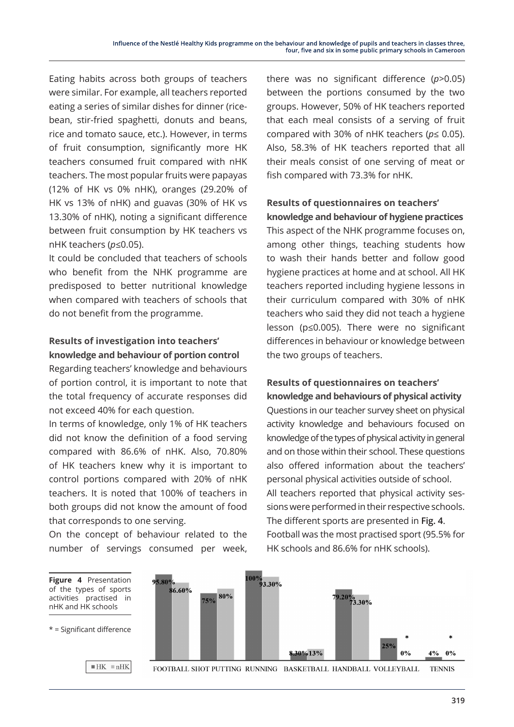Eating habits across both groups of teachers were similar. For example, all teachers reported eating a series of similar dishes for dinner (ricebean, stir-fried spaghetti, donuts and beans, rice and tomato sauce, etc.). However, in terms of fruit consumption, significantly more HK teachers consumed fruit compared with nHK teachers. The most popular fruits were papayas (12% of HK vs 0% nHK), oranges (29.20% of HK vs 13% of nHK) and guavas (30% of HK vs 13.30% of nHK), noting a significant difference between fruit consumption by HK teachers vs nHK teachers (*p*≤0.05).

It could be concluded that teachers of schools who benefit from the NHK programme are predisposed to better nutritional knowledge when compared with teachers of schools that do not benefit from the programme.

### **Results of investigation into teachers' knowledge and behaviour of portion control**

Regarding teachers' knowledge and behaviours of portion control, it is important to note that the total frequency of accurate responses did not exceed 40% for each question.

In terms of knowledge, only 1% of HK teachers did not know the definition of a food serving compared with 86.6% of nHK. Also, 70.80% of HK teachers knew why it is important to control portions compared with 20% of nHK teachers. It is noted that 100% of teachers in both groups did not know the amount of food that corresponds to one serving.

On the concept of behaviour related to the number of servings consumed per week,

nHK and HK schools

there was no significant difference (*p*>0.05) between the portions consumed by the two groups. However, 50% of HK teachers reported that each meal consists of a serving of fruit compared with 30% of nHK teachers (*p*≤ 0.05). Also, 58.3% of HK teachers reported that all their meals consist of one serving of meat or fish compared with 73.3% for nHK.

### **Results of questionnaires on teachers' knowledge and behaviour of hygiene practices**

This aspect of the NHK programme focuses on, among other things, teaching students how to wash their hands better and follow good hygiene practices at home and at school. All HK teachers reported including hygiene lessons in their curriculum compared with 30% of nHK teachers who said they did not teach a hygiene lesson (p≤0.005). There were no significant differences in behaviour or knowledge between the two groups of teachers.

## **Results of questionnaires on teachers' knowledge and behaviours of physical activity**

Questions in our teacher survey sheet on physical activity knowledge and behaviours focused on knowledge of the types of physical activity in general and on those within their school. These questions also offered information about the teachers' personal physical activities outside of school. All teachers reported that physical activity sessions were performed in their respective schools. The different sports are presented in **Fig. 4**. Football was the most practised sport (95.5% for HK schools and 86.6% for nHK schools).



FOOTBALL SHOT PUTTING RUNNING BASKETBALL HANDBALL VOLLEYBALL **TENNIS**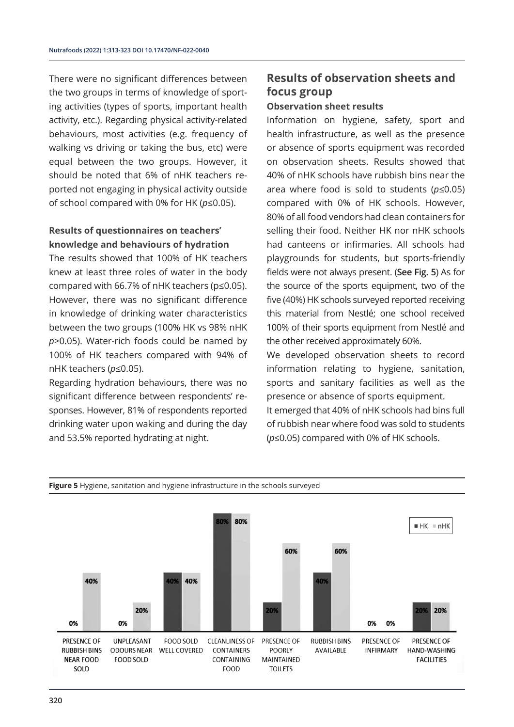There were no significant differences between the two groups in terms of knowledge of sporting activities (types of sports, important health activity, etc.). Regarding physical activity-related behaviours, most activities (e.g. frequency of walking vs driving or taking the bus, etc) were equal between the two groups. However, it should be noted that 6% of nHK teachers reported not engaging in physical activity outside of school compared with 0% for HK (*p*≤0.05).

## **Results of questionnaires on teachers' knowledge and behaviours of hydration**

The results showed that 100% of HK teachers knew at least three roles of water in the body compared with 66.7% of nHK teachers (p≤0.05). However, there was no significant difference in knowledge of drinking water characteristics between the two groups (100% HK vs 98% nHK *p*>0.05). Water-rich foods could be named by 100% of HK teachers compared with 94% of nHK teachers (*p*≤0.05).

Regarding hydration behaviours, there was no significant difference between respondents' responses. However, 81% of respondents reported drinking water upon waking and during the day and 53.5% reported hydrating at night.

## **Results of observation sheets and focus group**

#### **Observation sheet results**

Information on hygiene, safety, sport and health infrastructure, as well as the presence or absence of sports equipment was recorded on observation sheets. Results showed that 40% of nHK schools have rubbish bins near the area where food is sold to students (*p*≤0.05) compared with 0% of HK schools. However, 80% of all food vendors had clean containers for selling their food. Neither HK nor nHK schools had canteens or infirmaries. All schools had playgrounds for students, but sports-friendly fields were not always present. (**See Fig. 5**) As for the source of the sports equipment, two of the five (40%) HK schools surveyed reported receiving this material from Nestlé; one school received 100% of their sports equipment from Nestlé and the other received approximately 60%.

We developed observation sheets to record information relating to hygiene, sanitation, sports and sanitary facilities as well as the presence or absence of sports equipment.

It emerged that 40% of nHK schools had bins full of rubbish near where food was sold to students (*p*≤0.05) compared with 0% of HK schools.



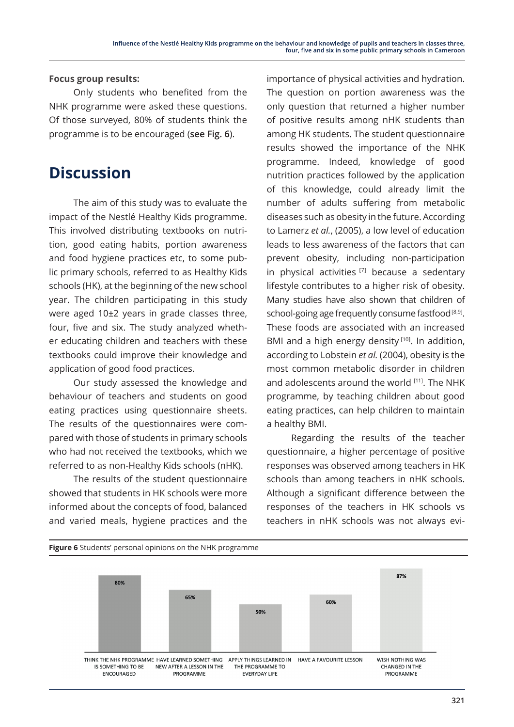#### **Focus group results:**

Only students who benefited from the NHK programme were asked these questions. Of those surveyed, 80% of students think the programme is to be encouraged (**see Fig. 6**).

## **Discussion**

The aim of this study was to evaluate the impact of the Nestlé Healthy Kids programme. This involved distributing textbooks on nutrition, good eating habits, portion awareness and food hygiene practices etc, to some public primary schools, referred to as Healthy Kids schools (HK), at the beginning of the new school year. The children participating in this study were aged 10±2 years in grade classes three, four, five and six. The study analyzed whether educating children and teachers with these textbooks could improve their knowledge and application of good food practices.

Our study assessed the knowledge and behaviour of teachers and students on good eating practices using questionnaire sheets. The results of the questionnaires were compared with those of students in primary schools who had not received the textbooks, which we referred to as non-Healthy Kids schools (nHK).

The results of the student questionnaire showed that students in HK schools were more informed about the concepts of food, balanced and varied meals, hygiene practices and the

importance of physical activities and hydration. The question on portion awareness was the only question that returned a higher number of positive results among nHK students than among HK students. The student questionnaire results showed the importance of the NHK programme. Indeed, knowledge of good nutrition practices followed by the application of this knowledge, could already limit the number of adults suffering from metabolic diseases such as obesity in the future. According to Lamerz *et al.*, (2005), a low level of education leads to less awareness of the factors that can prevent obesity, including non-participation in physical activities  $[7]$  because a sedentary lifestyle contributes to a higher risk of obesity. Many studies have also shown that children of school-going age frequently consume fastfood  $[8,9]$ . These foods are associated with an increased BMI and a high energy density<sup>[10]</sup>. In addition, according to Lobstein *et al.* (2004), obesity is the most common metabolic disorder in children and adolescents around the world [11]. The NHK programme, by teaching children about good eating practices, can help children to maintain a healthy BMI.

Regarding the results of the teacher questionnaire, a higher percentage of positive responses was observed among teachers in HK schools than among teachers in nHK schools. Although a significant difference between the responses of the teachers in HK schools vs teachers in nHK schools was not always evi-

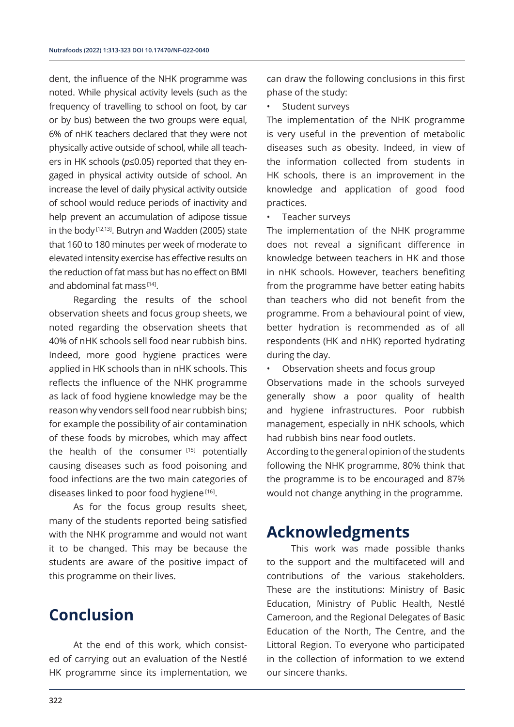dent, the influence of the NHK programme was noted. While physical activity levels (such as the frequency of travelling to school on foot, by car or by bus) between the two groups were equal, 6% of nHK teachers declared that they were not physically active outside of school, while all teachers in HK schools (*p*≤0.05) reported that they engaged in physical activity outside of school. An increase the level of daily physical activity outside of school would reduce periods of inactivity and help prevent an accumulation of adipose tissue in the body<sup>[12,13]</sup>. Butryn and Wadden (2005) state that 160 to 180 minutes per week of moderate to elevated intensity exercise has effective results on the reduction of fat mass but has no effect on BMI and abdominal fat mass  $[14]$ .

Regarding the results of the school observation sheets and focus group sheets, we noted regarding the observation sheets that 40% of nHK schools sell food near rubbish bins. Indeed, more good hygiene practices were applied in HK schools than in nHK schools. This reflects the influence of the NHK programme as lack of food hygiene knowledge may be the reason why vendors sell food near rubbish bins; for example the possibility of air contamination of these foods by microbes, which may affect the health of the consumer [15] potentially causing diseases such as food poisoning and food infections are the two main categories of diseases linked to poor food hygiene<sup>[16]</sup>.

As for the focus group results sheet, many of the students reported being satisfied with the NHK programme and would not want it to be changed. This may be because the students are aware of the positive impact of this programme on their lives.

## **Conclusion**

At the end of this work, which consisted of carrying out an evaluation of the Nestlé HK programme since its implementation, we can draw the following conclusions in this first phase of the study:

Student surveys

The implementation of the NHK programme is very useful in the prevention of metabolic diseases such as obesity. Indeed, in view of the information collected from students in HK schools, there is an improvement in the knowledge and application of good food practices.

Teacher surveys

The implementation of the NHK programme does not reveal a significant difference in knowledge between teachers in HK and those in nHK schools. However, teachers benefiting from the programme have better eating habits than teachers who did not benefit from the programme. From a behavioural point of view, better hydration is recommended as of all respondents (HK and nHK) reported hydrating during the day.

• Observation sheets and focus group

Observations made in the schools surveyed generally show a poor quality of health and hygiene infrastructures. Poor rubbish management, especially in nHK schools, which had rubbish bins near food outlets.

According to the general opinion of the students following the NHK programme, 80% think that the programme is to be encouraged and 87% would not change anything in the programme.

## **Acknowledgments**

This work was made possible thanks to the support and the multifaceted will and contributions of the various stakeholders. These are the institutions: Ministry of Basic Education, Ministry of Public Health, Nestlé Cameroon, and the Regional Delegates of Basic Education of the North, The Centre, and the Littoral Region. To everyone who participated in the collection of information to we extend our sincere thanks.